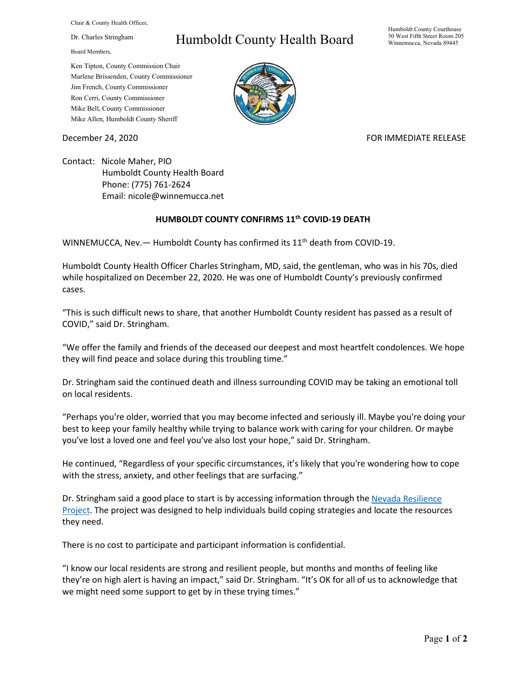Chair & County Health Officer,

Dr. Charles Stringham

Board Members,

## Humboldt County Health Board

Humboldt County Courthouse 50 West Fifth Street Room 205 Winnemucca, Nevada 89445

Ken Tipton, County Commission Chair Marlene Brissenden, County Commissioner Jim French, County Commissioner Ron Cerri, County Commissioner Mike Bell, County Commissioner Mike Allen, Humboldt County Sheriff

## December 24, 2020 **FOR IMMEDIATE RELEASE**

Contact: Nicole Maher, PIO Humboldt County Health Board Phone: (775) 761-2624 Email: nicole@winnemucca.net

## **HUMBOLDT COUNTY CONFIRMS 11th COVID-19 DEATH**

WINNEMUCCA, Nev. - Humboldt County has confirmed its 11<sup>th</sup> death from COVID-19.

Humboldt County Health Officer Charles Stringham, MD, said, the gentleman, who was in his 70s, died while hospitalized on December 22, 2020. He was one of Humboldt County's previously confirmed cases.

"This is such difficult news to share, that another Humboldt County resident has passed as a result of COVID," said Dr. Stringham.

"We offer the family and friends of the deceased our deepest and most heartfelt condolences. We hope they will find peace and solace during this troubling time."

Dr. Stringham said the continued death and illness surrounding COVID may be taking an emotional toll on local residents.

"Perhaps you're older, worried that you may become infected and seriously ill. Maybe you're doing your best to keep your family healthy while trying to balance work with caring for your children. Or maybe you've lost a loved one and feel you've also lost your hope," said Dr. Stringham.

He continued, "Regardless of your specific circumstances, it's likely that you're wondering how to cope with the stress, anxiety, and other feelings that are surfacing."

Dr. Stringham said a good place to start is by accessing information through the Nevada Resilience [Project.](https://www.nevada211.org/nevada-resilience-project/) The project was designed to help individuals build coping strategies and locate the resources they need.

There is no cost to participate and participant information is confidential.

"I know our local residents are strong and resilient people, but months and months of feeling like they're on high alert is having an impact," said Dr. Stringham. "It's OK for all of us to acknowledge that we might need some support to get by in these trying times."